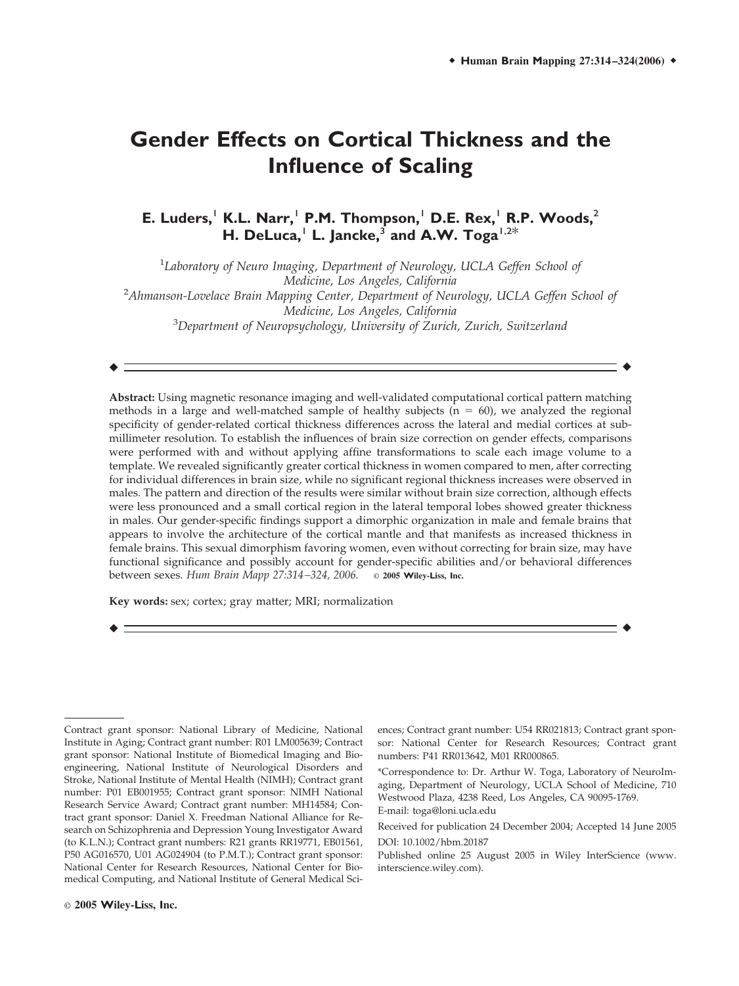# **Gender Effects on Cortical Thickness and the Influence of Scaling**

**E. Luders,**<sup>1</sup> **K.L. Narr,**<sup>1</sup> **P.M. Thompson,**<sup>1</sup> **D.E. Rex,**<sup>1</sup> **R.P. Woods,**<sup>2</sup> **H. DeLuca,**<sup>1</sup> **L. Jancke,**<sup>3</sup> **and A.W. Toga**1,2\*

1 *Laboratory of Neuro Imaging, Department of Neurology, UCLA Geffen School of Medicine, Los Angeles, California* <sup>2</sup> *Ahmanson-Lovelace Brain Mapping Center, Department of Neurology, UCLA Geffen School of Medicine, Los Angeles, California* 3 *Department of Neuropsychology, University of Zurich, Zurich, Switzerland*

**Abstract:** Using magnetic resonance imaging and well-validated computational cortical pattern matching methods in a large and well-matched sample of healthy subjects  $(n = 60)$ , we analyzed the regional specificity of gender-related cortical thickness differences across the lateral and medial cortices at submillimeter resolution. To establish the influences of brain size correction on gender effects, comparisons were performed with and without applying affine transformations to scale each image volume to a template. We revealed significantly greater cortical thickness in women compared to men, after correcting for individual differences in brain size, while no significant regional thickness increases were observed in males. The pattern and direction of the results were similar without brain size correction, although effects were less pronounced and a small cortical region in the lateral temporal lobes showed greater thickness in males. Our gender-specific findings support a dimorphic organization in male and female brains that appears to involve the architecture of the cortical mantle and that manifests as increased thickness in female brains. This sexual dimorphism favoring women, even without correcting for brain size, may have functional significance and possibly account for gender-specific abilities and/or behavioral differences between sexes. *Hum Brain Mapp 27:314 –324, 2006.* © **2005 Wiley-Liss, Inc.**

 $\blacklozenge$  and the contract of the contract of the contract of the contract of the contract of  $\blacklozenge$ 

**Key words:** sex; cortex; gray matter; MRI; normalization

ences; Contract grant number: U54 RR021813; Contract grant sponsor: National Center for Research Resources; Contract grant numbers: P41 RR013642, M01 RR000865.

\*Correspondence to: Dr. Arthur W. Toga, Laboratory of NeuroImaging, Department of Neurology, UCLA School of Medicine, 710 Westwood Plaza, 4238 Reed, Los Angeles, CA 90095-1769. E-mail: toga@loni.ucla.edu

Received for publication 24 December 2004; Accepted 14 June 2005 DOI: 10.1002/hbm.20187

Published online 25 August 2005 in Wiley InterScience (www. interscience.wiley.com).

Contract grant sponsor: National Library of Medicine, National Institute in Aging; Contract grant number: R01 LM005639; Contract grant sponsor: National Institute of Biomedical Imaging and Bioengineering, National Institute of Neurological Disorders and Stroke, National Institute of Mental Health (NIMH); Contract grant number: P01 EB001955; Contract grant sponsor: NIMH National Research Service Award; Contract grant number: MH14584; Contract grant sponsor: Daniel X. Freedman National Alliance for Research on Schizophrenia and Depression Young Investigator Award (to K.L.N.); Contract grant numbers: R21 grants RR19771, EB01561, P50 AG016570, U01 AG024904 (to P.M.T.); Contract grant sponsor: National Center for Research Resources, National Center for Biomedical Computing, and National Institute of General Medical Sci-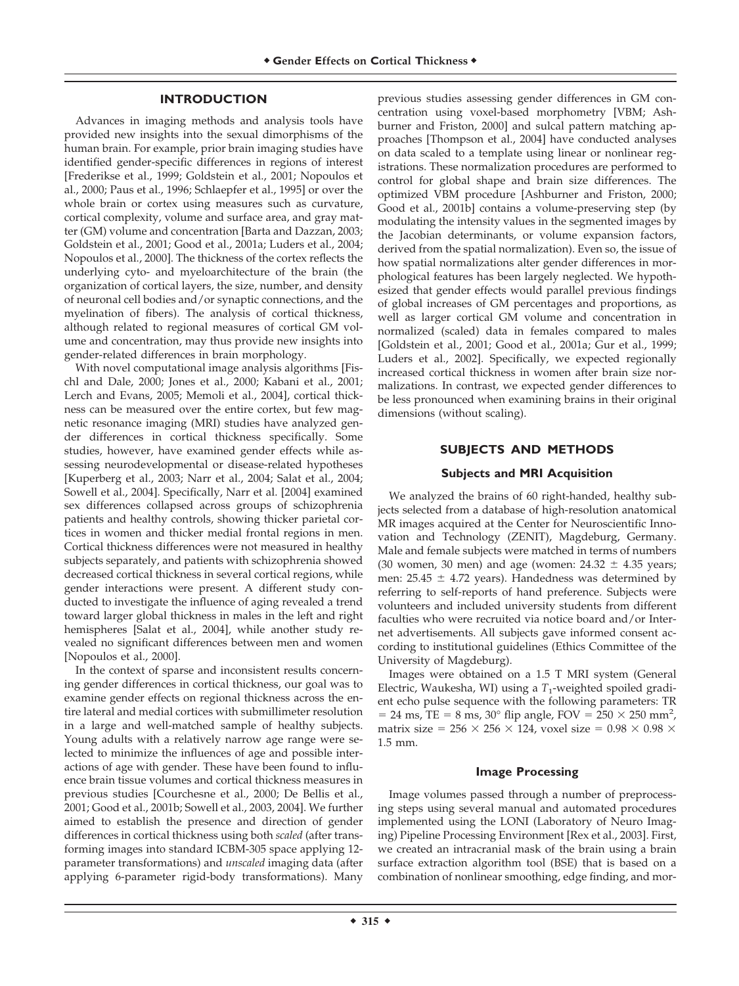## **INTRODUCTION**

Advances in imaging methods and analysis tools have provided new insights into the sexual dimorphisms of the human brain. For example, prior brain imaging studies have identified gender-specific differences in regions of interest [Frederikse et al., 1999; Goldstein et al., 2001; Nopoulos et al., 2000; Paus et al., 1996; Schlaepfer et al., 1995] or over the whole brain or cortex using measures such as curvature, cortical complexity, volume and surface area, and gray matter (GM) volume and concentration [Barta and Dazzan, 2003; Goldstein et al., 2001; Good et al., 2001a; Luders et al., 2004; Nopoulos et al., 2000]. The thickness of the cortex reflects the underlying cyto- and myeloarchitecture of the brain (the organization of cortical layers, the size, number, and density of neuronal cell bodies and/or synaptic connections, and the myelination of fibers). The analysis of cortical thickness, although related to regional measures of cortical GM volume and concentration, may thus provide new insights into gender-related differences in brain morphology.

With novel computational image analysis algorithms [Fischl and Dale, 2000; Jones et al., 2000; Kabani et al., 2001; Lerch and Evans, 2005; Memoli et al., 2004], cortical thickness can be measured over the entire cortex, but few magnetic resonance imaging (MRI) studies have analyzed gender differences in cortical thickness specifically. Some studies, however, have examined gender effects while assessing neurodevelopmental or disease-related hypotheses [Kuperberg et al., 2003; Narr et al., 2004; Salat et al., 2004; Sowell et al., 2004]. Specifically, Narr et al. [2004] examined sex differences collapsed across groups of schizophrenia patients and healthy controls, showing thicker parietal cortices in women and thicker medial frontal regions in men. Cortical thickness differences were not measured in healthy subjects separately, and patients with schizophrenia showed decreased cortical thickness in several cortical regions, while gender interactions were present. A different study conducted to investigate the influence of aging revealed a trend toward larger global thickness in males in the left and right hemispheres [Salat et al., 2004], while another study revealed no significant differences between men and women [Nopoulos et al., 2000].

In the context of sparse and inconsistent results concerning gender differences in cortical thickness, our goal was to examine gender effects on regional thickness across the entire lateral and medial cortices with submillimeter resolution in a large and well-matched sample of healthy subjects. Young adults with a relatively narrow age range were selected to minimize the influences of age and possible interactions of age with gender. These have been found to influence brain tissue volumes and cortical thickness measures in previous studies [Courchesne et al., 2000; De Bellis et al., 2001; Good et al., 2001b; Sowell et al., 2003, 2004]. We further aimed to establish the presence and direction of gender differences in cortical thickness using both *scaled* (after transforming images into standard ICBM-305 space applying 12 parameter transformations) and *unscaled* imaging data (after applying 6-parameter rigid-body transformations). Many

previous studies assessing gender differences in GM concentration using voxel-based morphometry [VBM; Ashburner and Friston, 2000] and sulcal pattern matching approaches [Thompson et al., 2004] have conducted analyses on data scaled to a template using linear or nonlinear registrations. These normalization procedures are performed to control for global shape and brain size differences. The optimized VBM procedure [Ashburner and Friston, 2000; Good et al., 2001b] contains a volume-preserving step (by modulating the intensity values in the segmented images by the Jacobian determinants, or volume expansion factors, derived from the spatial normalization). Even so, the issue of how spatial normalizations alter gender differences in morphological features has been largely neglected. We hypothesized that gender effects would parallel previous findings of global increases of GM percentages and proportions, as well as larger cortical GM volume and concentration in normalized (scaled) data in females compared to males [Goldstein et al., 2001; Good et al., 2001a; Gur et al., 1999; Luders et al., 2002]. Specifically, we expected regionally increased cortical thickness in women after brain size normalizations. In contrast, we expected gender differences to be less pronounced when examining brains in their original dimensions (without scaling).

#### **SUBJECTS AND METHODS**

#### **Subjects and MRI Acquisition**

We analyzed the brains of 60 right-handed, healthy subjects selected from a database of high-resolution anatomical MR images acquired at the Center for Neuroscientific Innovation and Technology (ZENIT), Magdeburg, Germany. Male and female subjects were matched in terms of numbers (30 women, 30 men) and age (women:  $24.32 \pm 4.35$  years; men:  $25.45 \pm 4.72$  years). Handedness was determined by referring to self-reports of hand preference. Subjects were volunteers and included university students from different faculties who were recruited via notice board and/or Internet advertisements. All subjects gave informed consent according to institutional guidelines (Ethics Committee of the University of Magdeburg).

Images were obtained on a 1.5 T MRI system (General Electric, Waukesha, WI) using a T<sub>1</sub>-weighted spoiled gradient echo pulse sequence with the following parameters: TR  $= 24$  ms, TE = 8 ms, 30° flip angle, FOV = 250  $\times$  250 mm<sup>2</sup>, matrix size =  $256 \times 256 \times 124$ , voxel size =  $0.98 \times 0.98 \times$ 1.5 mm.

#### **Image Processing**

Image volumes passed through a number of preprocessing steps using several manual and automated procedures implemented using the LONI (Laboratory of Neuro Imaging) Pipeline Processing Environment [Rex et al., 2003]. First, we created an intracranial mask of the brain using a brain surface extraction algorithm tool (BSE) that is based on a combination of nonlinear smoothing, edge finding, and mor-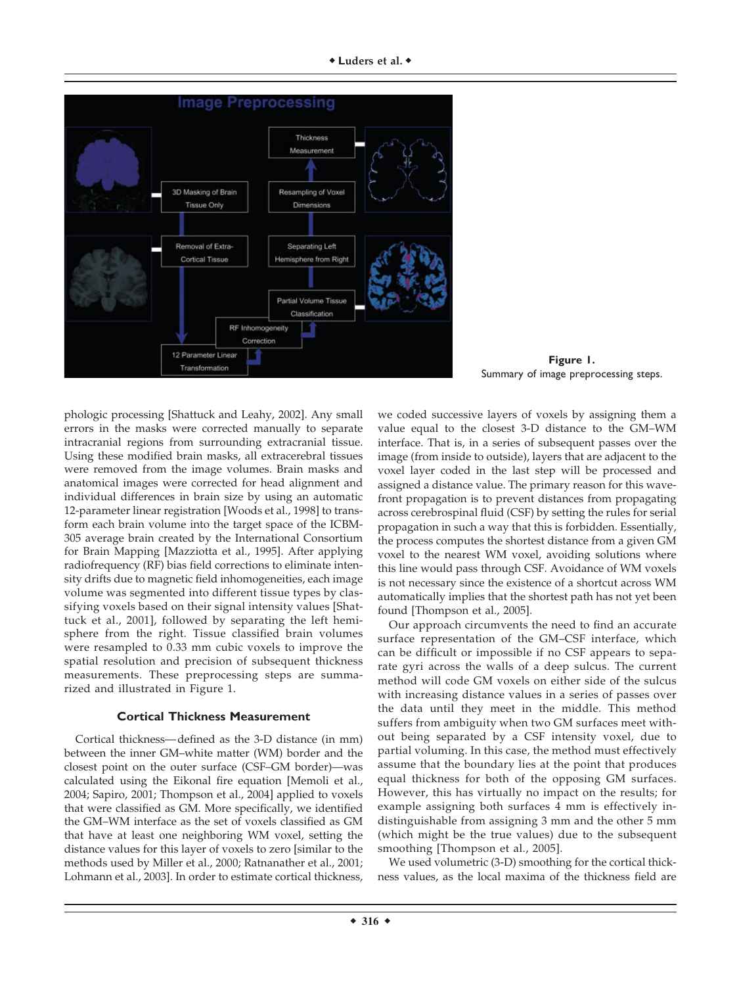

**Figure 1.** Summary of image preprocessing steps.

phologic processing [Shattuck and Leahy, 2002]. Any small errors in the masks were corrected manually to separate intracranial regions from surrounding extracranial tissue. Using these modified brain masks, all extracerebral tissues were removed from the image volumes. Brain masks and anatomical images were corrected for head alignment and individual differences in brain size by using an automatic 12-parameter linear registration [Woods et al., 1998] to transform each brain volume into the target space of the ICBM-305 average brain created by the International Consortium for Brain Mapping [Mazziotta et al., 1995]. After applying radiofrequency (RF) bias field corrections to eliminate intensity drifts due to magnetic field inhomogeneities, each image volume was segmented into different tissue types by classifying voxels based on their signal intensity values [Shattuck et al., 2001], followed by separating the left hemisphere from the right. Tissue classified brain volumes were resampled to 0.33 mm cubic voxels to improve the spatial resolution and precision of subsequent thickness measurements. These preprocessing steps are summarized and illustrated in Figure 1.

## **Cortical Thickness Measurement**

Cortical thickness—defined as the 3-D distance (in mm) between the inner GM–white matter (WM) border and the closest point on the outer surface (CSF–GM border)—was calculated using the Eikonal fire equation [Memoli et al., 2004; Sapiro, 2001; Thompson et al., 2004] applied to voxels that were classified as GM. More specifically, we identified the GM–WM interface as the set of voxels classified as GM that have at least one neighboring WM voxel, setting the distance values for this layer of voxels to zero [similar to the methods used by Miller et al., 2000; Ratnanather et al., 2001; Lohmann et al., 2003]. In order to estimate cortical thickness, we coded successive layers of voxels by assigning them a value equal to the closest 3-D distance to the GM–WM interface. That is, in a series of subsequent passes over the image (from inside to outside), layers that are adjacent to the voxel layer coded in the last step will be processed and assigned a distance value. The primary reason for this wavefront propagation is to prevent distances from propagating across cerebrospinal fluid (CSF) by setting the rules for serial propagation in such a way that this is forbidden. Essentially, the process computes the shortest distance from a given GM voxel to the nearest WM voxel, avoiding solutions where this line would pass through CSF. Avoidance of WM voxels is not necessary since the existence of a shortcut across WM automatically implies that the shortest path has not yet been found [Thompson et al., 2005].

Our approach circumvents the need to find an accurate surface representation of the GM–CSF interface, which can be difficult or impossible if no CSF appears to separate gyri across the walls of a deep sulcus. The current method will code GM voxels on either side of the sulcus with increasing distance values in a series of passes over the data until they meet in the middle. This method suffers from ambiguity when two GM surfaces meet without being separated by a CSF intensity voxel, due to partial voluming. In this case, the method must effectively assume that the boundary lies at the point that produces equal thickness for both of the opposing GM surfaces. However, this has virtually no impact on the results; for example assigning both surfaces 4 mm is effectively indistinguishable from assigning 3 mm and the other 5 mm (which might be the true values) due to the subsequent smoothing [Thompson et al., 2005].

We used volumetric (3-D) smoothing for the cortical thickness values, as the local maxima of the thickness field are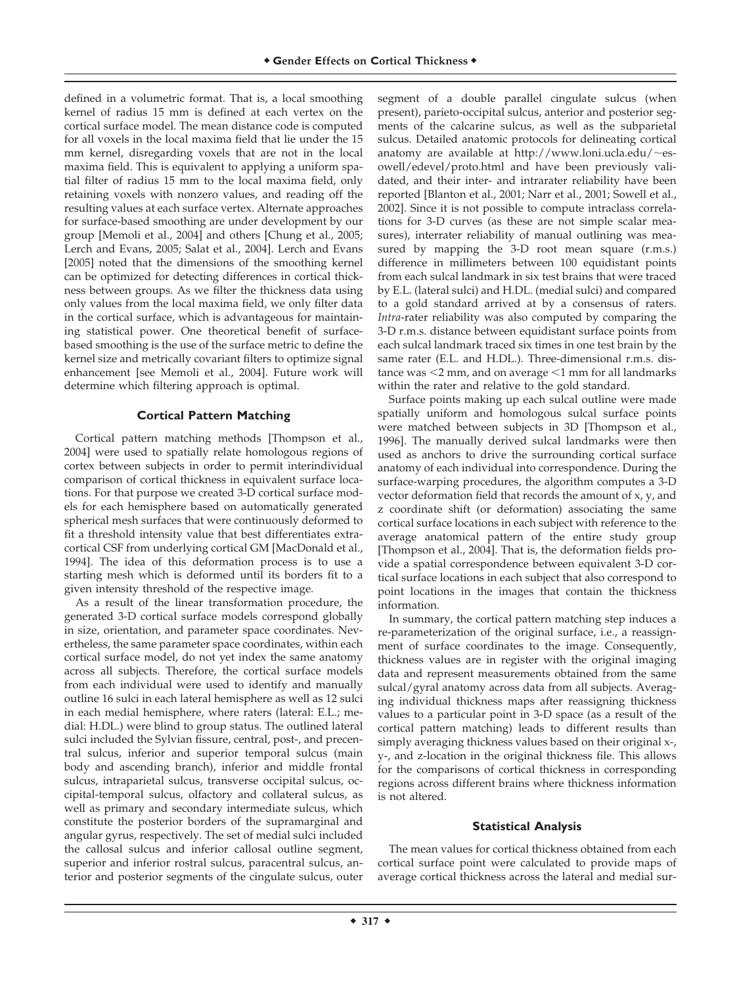defined in a volumetric format. That is, a local smoothing kernel of radius 15 mm is defined at each vertex on the cortical surface model. The mean distance code is computed for all voxels in the local maxima field that lie under the 15 mm kernel, disregarding voxels that are not in the local maxima field. This is equivalent to applying a uniform spatial filter of radius 15 mm to the local maxima field, only retaining voxels with nonzero values, and reading off the resulting values at each surface vertex. Alternate approaches for surface-based smoothing are under development by our group [Memoli et al., 2004] and others [Chung et al., 2005; Lerch and Evans, 2005; Salat et al., 2004]. Lerch and Evans [2005] noted that the dimensions of the smoothing kernel can be optimized for detecting differences in cortical thickness between groups. As we filter the thickness data using only values from the local maxima field, we only filter data in the cortical surface, which is advantageous for maintaining statistical power. One theoretical benefit of surfacebased smoothing is the use of the surface metric to define the kernel size and metrically covariant filters to optimize signal enhancement [see Memoli et al., 2004]. Future work will determine which filtering approach is optimal.

## **Cortical Pattern Matching**

Cortical pattern matching methods [Thompson et al., 2004] were used to spatially relate homologous regions of cortex between subjects in order to permit interindividual comparison of cortical thickness in equivalent surface locations. For that purpose we created 3-D cortical surface models for each hemisphere based on automatically generated spherical mesh surfaces that were continuously deformed to fit a threshold intensity value that best differentiates extracortical CSF from underlying cortical GM [MacDonald et al., 1994]. The idea of this deformation process is to use a starting mesh which is deformed until its borders fit to a given intensity threshold of the respective image.

As a result of the linear transformation procedure, the generated 3-D cortical surface models correspond globally in size, orientation, and parameter space coordinates. Nevertheless, the same parameter space coordinates, within each cortical surface model, do not yet index the same anatomy across all subjects. Therefore, the cortical surface models from each individual were used to identify and manually outline 16 sulci in each lateral hemisphere as well as 12 sulci in each medial hemisphere, where raters (lateral: E.L.; medial: H.DL.) were blind to group status. The outlined lateral sulci included the Sylvian fissure, central, post-, and precentral sulcus, inferior and superior temporal sulcus (main body and ascending branch), inferior and middle frontal sulcus, intraparietal sulcus, transverse occipital sulcus, occipital-temporal sulcus, olfactory and collateral sulcus, as well as primary and secondary intermediate sulcus, which constitute the posterior borders of the supramarginal and angular gyrus, respectively. The set of medial sulci included the callosal sulcus and inferior callosal outline segment, superior and inferior rostral sulcus, paracentral sulcus, anterior and posterior segments of the cingulate sulcus, outer segment of a double parallel cingulate sulcus (when present), parieto-occipital sulcus, anterior and posterior segments of the calcarine sulcus, as well as the subparietal sulcus. Detailed anatomic protocols for delineating cortical anatomy are available at http://www.loni.ucla.edu/ $\sim$ esowell/edevel/proto.html and have been previously validated, and their inter- and intrarater reliability have been reported [Blanton et al., 2001; Narr et al., 2001; Sowell et al., 2002]. Since it is not possible to compute intraclass correlations for 3-D curves (as these are not simple scalar measures), interrater reliability of manual outlining was measured by mapping the 3-D root mean square (r.m.s.) difference in millimeters between 100 equidistant points from each sulcal landmark in six test brains that were traced by E.L. (lateral sulci) and H.DL. (medial sulci) and compared to a gold standard arrived at by a consensus of raters. *Intra*-rater reliability was also computed by comparing the 3-D r.m.s. distance between equidistant surface points from each sulcal landmark traced six times in one test brain by the same rater (E.L. and H.DL.). Three-dimensional r.m.s. distance was  $\leq$ 2 mm, and on average  $\leq$ 1 mm for all landmarks within the rater and relative to the gold standard.

Surface points making up each sulcal outline were made spatially uniform and homologous sulcal surface points were matched between subjects in 3D [Thompson et al., 1996]. The manually derived sulcal landmarks were then used as anchors to drive the surrounding cortical surface anatomy of each individual into correspondence. During the surface-warping procedures, the algorithm computes a 3-D vector deformation field that records the amount of x, y, and z coordinate shift (or deformation) associating the same cortical surface locations in each subject with reference to the average anatomical pattern of the entire study group [Thompson et al., 2004]. That is, the deformation fields provide a spatial correspondence between equivalent 3-D cortical surface locations in each subject that also correspond to point locations in the images that contain the thickness information.

In summary, the cortical pattern matching step induces a re-parameterization of the original surface, i.e., a reassignment of surface coordinates to the image. Consequently, thickness values are in register with the original imaging data and represent measurements obtained from the same sulcal/gyral anatomy across data from all subjects. Averaging individual thickness maps after reassigning thickness values to a particular point in 3-D space (as a result of the cortical pattern matching) leads to different results than simply averaging thickness values based on their original x-, y-, and z-location in the original thickness file. This allows for the comparisons of cortical thickness in corresponding regions across different brains where thickness information is not altered.

## **Statistical Analysis**

The mean values for cortical thickness obtained from each cortical surface point were calculated to provide maps of average cortical thickness across the lateral and medial sur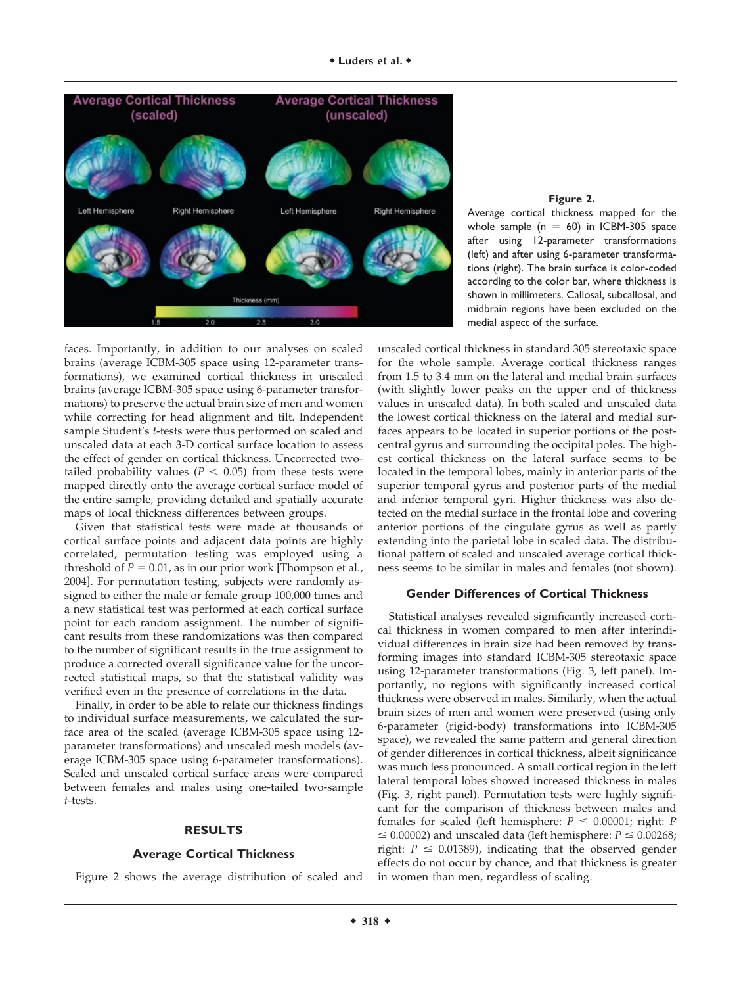**Luders et al.**



# **Figure 2.**

Average cortical thickness mapped for the whole sample  $(n = 60)$  in ICBM-305 space after using 12-parameter transformations (left) and after using 6-parameter transformations (right). The brain surface is color-coded according to the color bar, where thickness is shown in millimeters. Callosal, subcallosal, and midbrain regions have been excluded on the medial aspect of the surface.

faces. Importantly, in addition to our analyses on scaled brains (average ICBM-305 space using 12-parameter transformations), we examined cortical thickness in unscaled brains (average ICBM-305 space using 6-parameter transformations) to preserve the actual brain size of men and women while correcting for head alignment and tilt. Independent sample Student's *t*-tests were thus performed on scaled and unscaled data at each 3-D cortical surface location to assess the effect of gender on cortical thickness. Uncorrected twotailed probability values ( $P < 0.05$ ) from these tests were mapped directly onto the average cortical surface model of the entire sample, providing detailed and spatially accurate maps of local thickness differences between groups.

Given that statistical tests were made at thousands of cortical surface points and adjacent data points are highly correlated, permutation testing was employed using a threshold of  $P = 0.01$ , as in our prior work [Thompson et al., 2004]. For permutation testing, subjects were randomly assigned to either the male or female group 100,000 times and a new statistical test was performed at each cortical surface point for each random assignment. The number of significant results from these randomizations was then compared to the number of significant results in the true assignment to produce a corrected overall significance value for the uncorrected statistical maps, so that the statistical validity was verified even in the presence of correlations in the data.

Finally, in order to be able to relate our thickness findings to individual surface measurements, we calculated the surface area of the scaled (average ICBM-305 space using 12 parameter transformations) and unscaled mesh models (average ICBM-305 space using 6-parameter transformations). Scaled and unscaled cortical surface areas were compared between females and males using one-tailed two-sample *t*-tests.

## **RESULTS**

#### **Average Cortical Thickness**

Figure 2 shows the average distribution of scaled and

unscaled cortical thickness in standard 305 stereotaxic space for the whole sample. Average cortical thickness ranges from 1.5 to 3.4 mm on the lateral and medial brain surfaces (with slightly lower peaks on the upper end of thickness values in unscaled data). In both scaled and unscaled data the lowest cortical thickness on the lateral and medial surfaces appears to be located in superior portions of the postcentral gyrus and surrounding the occipital poles. The highest cortical thickness on the lateral surface seems to be located in the temporal lobes, mainly in anterior parts of the superior temporal gyrus and posterior parts of the medial and inferior temporal gyri. Higher thickness was also detected on the medial surface in the frontal lobe and covering anterior portions of the cingulate gyrus as well as partly extending into the parietal lobe in scaled data. The distributional pattern of scaled and unscaled average cortical thickness seems to be similar in males and females (not shown).

## **Gender Differences of Cortical Thickness**

Statistical analyses revealed significantly increased cortical thickness in women compared to men after interindividual differences in brain size had been removed by transforming images into standard ICBM-305 stereotaxic space using 12-parameter transformations (Fig. 3, left panel). Importantly, no regions with significantly increased cortical thickness were observed in males. Similarly, when the actual brain sizes of men and women were preserved (using only 6-parameter (rigid-body) transformations into ICBM-305 space), we revealed the same pattern and general direction of gender differences in cortical thickness, albeit significance was much less pronounced. A small cortical region in the left lateral temporal lobes showed increased thickness in males (Fig. 3, right panel). Permutation tests were highly significant for the comparison of thickness between males and females for scaled (left hemisphere:  $P \leq 0.00001$ ; right: *P*  $\leq$  0.00002) and unscaled data (left hemisphere: *P*  $\leq$  0.00268; right:  $P \le 0.01389$ ), indicating that the observed gender effects do not occur by chance, and that thickness is greater in women than men, regardless of scaling.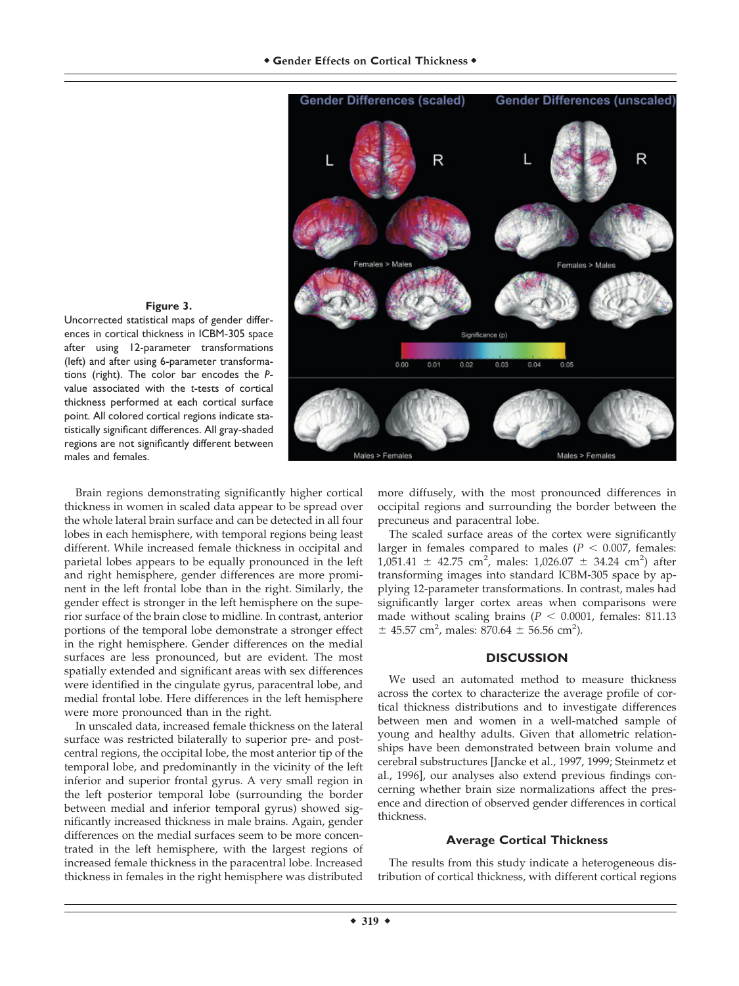

#### **Figure 3.**

Uncorrected statistical maps of gender differences in cortical thickness in ICBM-305 space after using 12-parameter transformations (left) and after using 6-parameter transformations (right). The color bar encodes the *P*value associated with the *t*-tests of cortical thickness performed at each cortical surface point. All colored cortical regions indicate statistically significant differences. All gray-shaded regions are not significantly different between males and females.

Brain regions demonstrating significantly higher cortical thickness in women in scaled data appear to be spread over the whole lateral brain surface and can be detected in all four lobes in each hemisphere, with temporal regions being least different. While increased female thickness in occipital and parietal lobes appears to be equally pronounced in the left and right hemisphere, gender differences are more prominent in the left frontal lobe than in the right. Similarly, the gender effect is stronger in the left hemisphere on the superior surface of the brain close to midline. In contrast, anterior portions of the temporal lobe demonstrate a stronger effect in the right hemisphere. Gender differences on the medial surfaces are less pronounced, but are evident. The most spatially extended and significant areas with sex differences were identified in the cingulate gyrus, paracentral lobe, and medial frontal lobe. Here differences in the left hemisphere were more pronounced than in the right.

In unscaled data, increased female thickness on the lateral surface was restricted bilaterally to superior pre- and postcentral regions, the occipital lobe, the most anterior tip of the temporal lobe, and predominantly in the vicinity of the left inferior and superior frontal gyrus. A very small region in the left posterior temporal lobe (surrounding the border between medial and inferior temporal gyrus) showed significantly increased thickness in male brains. Again, gender differences on the medial surfaces seem to be more concentrated in the left hemisphere, with the largest regions of increased female thickness in the paracentral lobe. Increased thickness in females in the right hemisphere was distributed

more diffusely, with the most pronounced differences in occipital regions and surrounding the border between the precuneus and paracentral lobe.

The scaled surface areas of the cortex were significantly larger in females compared to males ( $P < 0.007$ , females:  $1,051.41 \pm 42.75 \text{ cm}^2$ , males:  $1,026.07 \pm 34.24 \text{ cm}^2$ ) after transforming images into standard ICBM-305 space by applying 12-parameter transformations. In contrast, males had significantly larger cortex areas when comparisons were made without scaling brains ( $P < 0.0001$ , females: 811.13  $\pm$  45.57 cm<sup>2</sup>, males: 870.64  $\pm$  56.56 cm<sup>2</sup>).

## **DISCUSSION**

We used an automated method to measure thickness across the cortex to characterize the average profile of cortical thickness distributions and to investigate differences between men and women in a well-matched sample of young and healthy adults. Given that allometric relationships have been demonstrated between brain volume and cerebral substructures [Jancke et al., 1997, 1999; Steinmetz et al., 1996], our analyses also extend previous findings concerning whether brain size normalizations affect the presence and direction of observed gender differences in cortical thickness.

## **Average Cortical Thickness**

The results from this study indicate a heterogeneous distribution of cortical thickness, with different cortical regions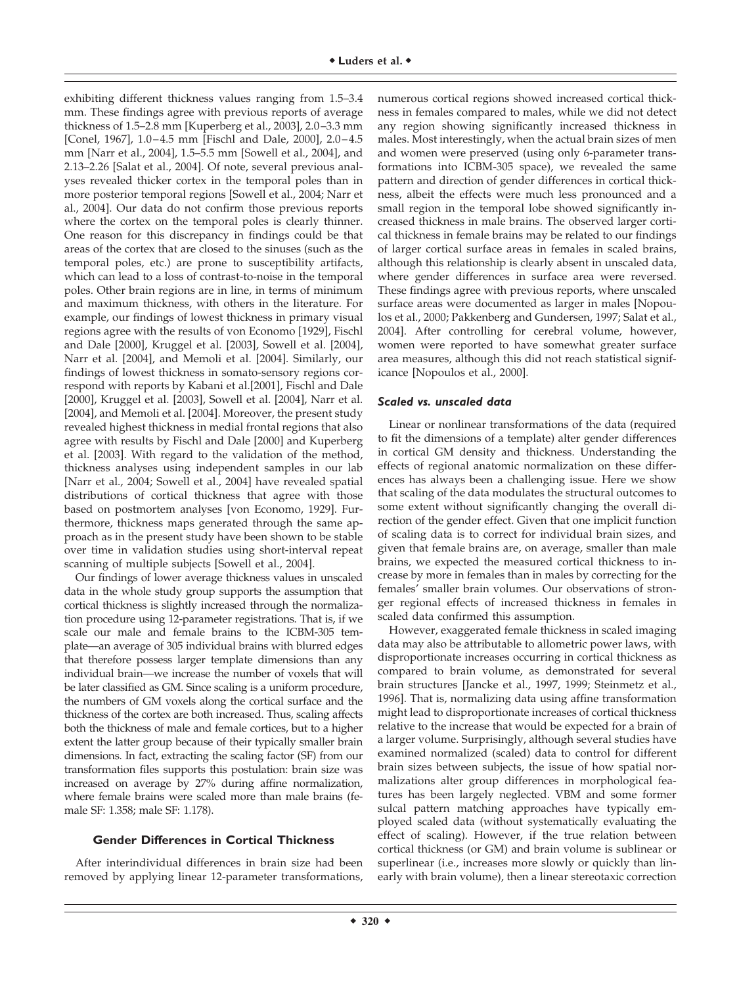exhibiting different thickness values ranging from 1.5–3.4 mm. These findings agree with previous reports of average thickness of 1.5–2.8 mm [Kuperberg et al., 2003], 2.0 –3.3 mm [Conel, 1967], 1.0-4.5 mm [Fischl and Dale, 2000], 2.0-4.5 mm [Narr et al., 2004], 1.5–5.5 mm [Sowell et al., 2004], and 2.13–2.26 [Salat et al., 2004]. Of note, several previous analyses revealed thicker cortex in the temporal poles than in more posterior temporal regions [Sowell et al., 2004; Narr et al., 2004]. Our data do not confirm those previous reports where the cortex on the temporal poles is clearly thinner. One reason for this discrepancy in findings could be that areas of the cortex that are closed to the sinuses (such as the temporal poles, etc.) are prone to susceptibility artifacts, which can lead to a loss of contrast-to-noise in the temporal poles. Other brain regions are in line, in terms of minimum and maximum thickness, with others in the literature. For example, our findings of lowest thickness in primary visual regions agree with the results of von Economo [1929], Fischl and Dale [2000], Kruggel et al. [2003], Sowell et al. [2004], Narr et al. [2004], and Memoli et al. [2004]. Similarly, our findings of lowest thickness in somato-sensory regions correspond with reports by Kabani et al.[2001], Fischl and Dale [2000], Kruggel et al. [2003], Sowell et al. [2004], Narr et al. [2004], and Memoli et al. [2004]. Moreover, the present study revealed highest thickness in medial frontal regions that also agree with results by Fischl and Dale [2000] and Kuperberg et al. [2003]. With regard to the validation of the method, thickness analyses using independent samples in our lab [Narr et al., 2004; Sowell et al., 2004] have revealed spatial distributions of cortical thickness that agree with those based on postmortem analyses [von Economo, 1929]. Furthermore, thickness maps generated through the same approach as in the present study have been shown to be stable over time in validation studies using short-interval repeat scanning of multiple subjects [Sowell et al., 2004].

Our findings of lower average thickness values in unscaled data in the whole study group supports the assumption that cortical thickness is slightly increased through the normalization procedure using 12-parameter registrations. That is, if we scale our male and female brains to the ICBM-305 template—an average of 305 individual brains with blurred edges that therefore possess larger template dimensions than any individual brain—we increase the number of voxels that will be later classified as GM. Since scaling is a uniform procedure, the numbers of GM voxels along the cortical surface and the thickness of the cortex are both increased. Thus, scaling affects both the thickness of male and female cortices, but to a higher extent the latter group because of their typically smaller brain dimensions. In fact, extracting the scaling factor (SF) from our transformation files supports this postulation: brain size was increased on average by 27% during affine normalization, where female brains were scaled more than male brains (female SF: 1.358; male SF: 1.178).

## **Gender Differences in Cortical Thickness**

After interindividual differences in brain size had been removed by applying linear 12-parameter transformations,

numerous cortical regions showed increased cortical thickness in females compared to males, while we did not detect any region showing significantly increased thickness in males. Most interestingly, when the actual brain sizes of men and women were preserved (using only 6-parameter transformations into ICBM-305 space), we revealed the same pattern and direction of gender differences in cortical thickness, albeit the effects were much less pronounced and a small region in the temporal lobe showed significantly increased thickness in male brains. The observed larger cortical thickness in female brains may be related to our findings of larger cortical surface areas in females in scaled brains, although this relationship is clearly absent in unscaled data, where gender differences in surface area were reversed. These findings agree with previous reports, where unscaled surface areas were documented as larger in males [Nopoulos et al., 2000; Pakkenberg and Gundersen, 1997; Salat et al., 2004]. After controlling for cerebral volume, however, women were reported to have somewhat greater surface area measures, although this did not reach statistical significance [Nopoulos et al., 2000].

## *Scaled vs. unscaled data*

Linear or nonlinear transformations of the data (required to fit the dimensions of a template) alter gender differences in cortical GM density and thickness. Understanding the effects of regional anatomic normalization on these differences has always been a challenging issue. Here we show that scaling of the data modulates the structural outcomes to some extent without significantly changing the overall direction of the gender effect. Given that one implicit function of scaling data is to correct for individual brain sizes, and given that female brains are, on average, smaller than male brains, we expected the measured cortical thickness to increase by more in females than in males by correcting for the females' smaller brain volumes. Our observations of stronger regional effects of increased thickness in females in scaled data confirmed this assumption.

However, exaggerated female thickness in scaled imaging data may also be attributable to allometric power laws, with disproportionate increases occurring in cortical thickness as compared to brain volume, as demonstrated for several brain structures [Jancke et al., 1997, 1999; Steinmetz et al., 1996]. That is, normalizing data using affine transformation might lead to disproportionate increases of cortical thickness relative to the increase that would be expected for a brain of a larger volume. Surprisingly, although several studies have examined normalized (scaled) data to control for different brain sizes between subjects, the issue of how spatial normalizations alter group differences in morphological features has been largely neglected. VBM and some former sulcal pattern matching approaches have typically employed scaled data (without systematically evaluating the effect of scaling). However, if the true relation between cortical thickness (or GM) and brain volume is sublinear or superlinear (i.e., increases more slowly or quickly than linearly with brain volume), then a linear stereotaxic correction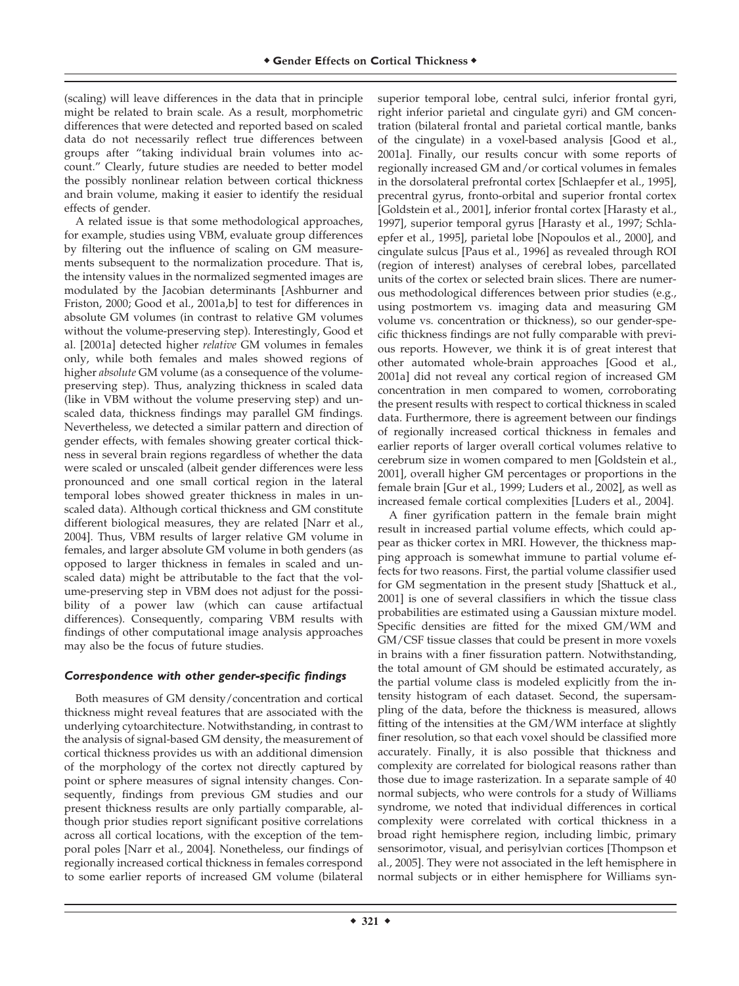(scaling) will leave differences in the data that in principle might be related to brain scale. As a result, morphometric differences that were detected and reported based on scaled data do not necessarily reflect true differences between groups after "taking individual brain volumes into account." Clearly, future studies are needed to better model the possibly nonlinear relation between cortical thickness and brain volume, making it easier to identify the residual effects of gender.

A related issue is that some methodological approaches, for example, studies using VBM, evaluate group differences by filtering out the influence of scaling on GM measurements subsequent to the normalization procedure. That is, the intensity values in the normalized segmented images are modulated by the Jacobian determinants [Ashburner and Friston, 2000; Good et al., 2001a,b] to test for differences in absolute GM volumes (in contrast to relative GM volumes without the volume-preserving step). Interestingly, Good et al. [2001a] detected higher *relative* GM volumes in females only, while both females and males showed regions of higher *absolute* GM volume (as a consequence of the volumepreserving step). Thus, analyzing thickness in scaled data (like in VBM without the volume preserving step) and unscaled data, thickness findings may parallel GM findings. Nevertheless, we detected a similar pattern and direction of gender effects, with females showing greater cortical thickness in several brain regions regardless of whether the data were scaled or unscaled (albeit gender differences were less pronounced and one small cortical region in the lateral temporal lobes showed greater thickness in males in unscaled data). Although cortical thickness and GM constitute different biological measures, they are related [Narr et al., 2004]. Thus, VBM results of larger relative GM volume in females, and larger absolute GM volume in both genders (as opposed to larger thickness in females in scaled and unscaled data) might be attributable to the fact that the volume-preserving step in VBM does not adjust for the possibility of a power law (which can cause artifactual differences). Consequently, comparing VBM results with findings of other computational image analysis approaches may also be the focus of future studies.

# *Correspondence with other gender-specific findings*

Both measures of GM density/concentration and cortical thickness might reveal features that are associated with the underlying cytoarchitecture. Notwithstanding, in contrast to the analysis of signal-based GM density, the measurement of cortical thickness provides us with an additional dimension of the morphology of the cortex not directly captured by point or sphere measures of signal intensity changes. Consequently, findings from previous GM studies and our present thickness results are only partially comparable, although prior studies report significant positive correlations across all cortical locations, with the exception of the temporal poles [Narr et al., 2004]. Nonetheless, our findings of regionally increased cortical thickness in females correspond to some earlier reports of increased GM volume (bilateral

superior temporal lobe, central sulci, inferior frontal gyri, right inferior parietal and cingulate gyri) and GM concentration (bilateral frontal and parietal cortical mantle, banks of the cingulate) in a voxel-based analysis [Good et al., 2001a]. Finally, our results concur with some reports of regionally increased GM and/or cortical volumes in females in the dorsolateral prefrontal cortex [Schlaepfer et al., 1995], precentral gyrus, fronto-orbital and superior frontal cortex [Goldstein et al., 2001], inferior frontal cortex [Harasty et al., 1997], superior temporal gyrus [Harasty et al., 1997; Schlaepfer et al., 1995], parietal lobe [Nopoulos et al., 2000], and cingulate sulcus [Paus et al., 1996] as revealed through ROI (region of interest) analyses of cerebral lobes, parcellated units of the cortex or selected brain slices. There are numerous methodological differences between prior studies (e.g., using postmortem vs. imaging data and measuring GM volume vs. concentration or thickness), so our gender-specific thickness findings are not fully comparable with previous reports. However, we think it is of great interest that other automated whole-brain approaches [Good et al., 2001a] did not reveal any cortical region of increased GM concentration in men compared to women, corroborating the present results with respect to cortical thickness in scaled data. Furthermore, there is agreement between our findings of regionally increased cortical thickness in females and earlier reports of larger overall cortical volumes relative to cerebrum size in women compared to men [Goldstein et al., 2001], overall higher GM percentages or proportions in the female brain [Gur et al., 1999; Luders et al., 2002], as well as increased female cortical complexities [Luders et al., 2004].

A finer gyrification pattern in the female brain might result in increased partial volume effects, which could appear as thicker cortex in MRI. However, the thickness mapping approach is somewhat immune to partial volume effects for two reasons. First, the partial volume classifier used for GM segmentation in the present study [Shattuck et al., 2001] is one of several classifiers in which the tissue class probabilities are estimated using a Gaussian mixture model. Specific densities are fitted for the mixed GM/WM and GM/CSF tissue classes that could be present in more voxels in brains with a finer fissuration pattern. Notwithstanding, the total amount of GM should be estimated accurately, as the partial volume class is modeled explicitly from the intensity histogram of each dataset. Second, the supersampling of the data, before the thickness is measured, allows fitting of the intensities at the GM/WM interface at slightly finer resolution, so that each voxel should be classified more accurately. Finally, it is also possible that thickness and complexity are correlated for biological reasons rather than those due to image rasterization. In a separate sample of 40 normal subjects, who were controls for a study of Williams syndrome, we noted that individual differences in cortical complexity were correlated with cortical thickness in a broad right hemisphere region, including limbic, primary sensorimotor, visual, and perisylvian cortices [Thompson et al., 2005]. They were not associated in the left hemisphere in normal subjects or in either hemisphere for Williams syn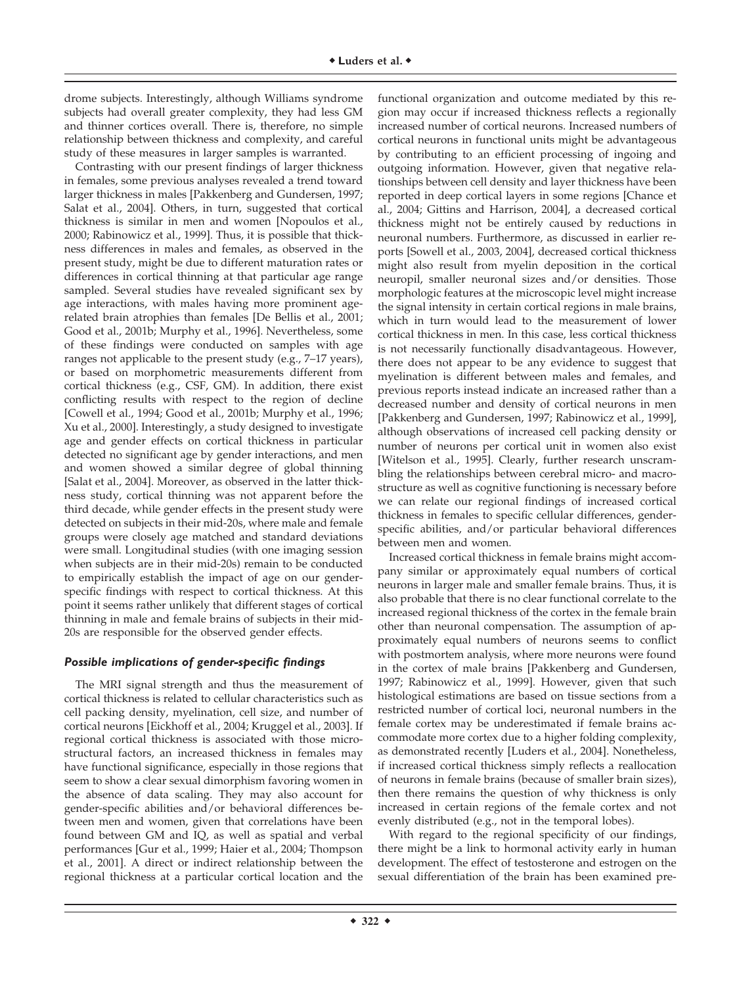drome subjects. Interestingly, although Williams syndrome subjects had overall greater complexity, they had less GM and thinner cortices overall. There is, therefore, no simple relationship between thickness and complexity, and careful study of these measures in larger samples is warranted.

Contrasting with our present findings of larger thickness in females, some previous analyses revealed a trend toward larger thickness in males [Pakkenberg and Gundersen, 1997; Salat et al., 2004]. Others, in turn, suggested that cortical thickness is similar in men and women [Nopoulos et al., 2000; Rabinowicz et al., 1999]. Thus, it is possible that thickness differences in males and females, as observed in the present study, might be due to different maturation rates or differences in cortical thinning at that particular age range sampled. Several studies have revealed significant sex by age interactions, with males having more prominent agerelated brain atrophies than females [De Bellis et al., 2001; Good et al., 2001b; Murphy et al., 1996]. Nevertheless, some of these findings were conducted on samples with age ranges not applicable to the present study (e.g., 7–17 years), or based on morphometric measurements different from cortical thickness (e.g., CSF, GM). In addition, there exist conflicting results with respect to the region of decline [Cowell et al., 1994; Good et al., 2001b; Murphy et al., 1996; Xu et al., 2000]. Interestingly, a study designed to investigate age and gender effects on cortical thickness in particular detected no significant age by gender interactions, and men and women showed a similar degree of global thinning [Salat et al., 2004]. Moreover, as observed in the latter thickness study, cortical thinning was not apparent before the third decade, while gender effects in the present study were detected on subjects in their mid-20s, where male and female groups were closely age matched and standard deviations were small. Longitudinal studies (with one imaging session when subjects are in their mid-20s) remain to be conducted to empirically establish the impact of age on our genderspecific findings with respect to cortical thickness. At this point it seems rather unlikely that different stages of cortical thinning in male and female brains of subjects in their mid-20s are responsible for the observed gender effects.

## *Possible implications of gender-specific findings*

The MRI signal strength and thus the measurement of cortical thickness is related to cellular characteristics such as cell packing density, myelination, cell size, and number of cortical neurons [Eickhoff et al., 2004; Kruggel et al., 2003]. If regional cortical thickness is associated with those microstructural factors, an increased thickness in females may have functional significance, especially in those regions that seem to show a clear sexual dimorphism favoring women in the absence of data scaling. They may also account for gender-specific abilities and/or behavioral differences between men and women, given that correlations have been found between GM and IQ, as well as spatial and verbal performances [Gur et al., 1999; Haier et al., 2004; Thompson et al., 2001]. A direct or indirect relationship between the regional thickness at a particular cortical location and the

functional organization and outcome mediated by this region may occur if increased thickness reflects a regionally increased number of cortical neurons. Increased numbers of cortical neurons in functional units might be advantageous by contributing to an efficient processing of ingoing and outgoing information. However, given that negative relationships between cell density and layer thickness have been reported in deep cortical layers in some regions [Chance et al., 2004; Gittins and Harrison, 2004], a decreased cortical thickness might not be entirely caused by reductions in neuronal numbers. Furthermore, as discussed in earlier reports [Sowell et al., 2003, 2004], decreased cortical thickness might also result from myelin deposition in the cortical neuropil, smaller neuronal sizes and/or densities. Those morphologic features at the microscopic level might increase the signal intensity in certain cortical regions in male brains, which in turn would lead to the measurement of lower cortical thickness in men. In this case, less cortical thickness is not necessarily functionally disadvantageous. However, there does not appear to be any evidence to suggest that myelination is different between males and females, and previous reports instead indicate an increased rather than a decreased number and density of cortical neurons in men [Pakkenberg and Gundersen, 1997; Rabinowicz et al., 1999], although observations of increased cell packing density or number of neurons per cortical unit in women also exist [Witelson et al., 1995]. Clearly, further research unscrambling the relationships between cerebral micro- and macrostructure as well as cognitive functioning is necessary before we can relate our regional findings of increased cortical thickness in females to specific cellular differences, genderspecific abilities, and/or particular behavioral differences between men and women.

Increased cortical thickness in female brains might accompany similar or approximately equal numbers of cortical neurons in larger male and smaller female brains. Thus, it is also probable that there is no clear functional correlate to the increased regional thickness of the cortex in the female brain other than neuronal compensation. The assumption of approximately equal numbers of neurons seems to conflict with postmortem analysis, where more neurons were found in the cortex of male brains [Pakkenberg and Gundersen, 1997; Rabinowicz et al., 1999]. However, given that such histological estimations are based on tissue sections from a restricted number of cortical loci, neuronal numbers in the female cortex may be underestimated if female brains accommodate more cortex due to a higher folding complexity, as demonstrated recently [Luders et al., 2004]. Nonetheless, if increased cortical thickness simply reflects a reallocation of neurons in female brains (because of smaller brain sizes), then there remains the question of why thickness is only increased in certain regions of the female cortex and not evenly distributed (e.g., not in the temporal lobes).

With regard to the regional specificity of our findings, there might be a link to hormonal activity early in human development. The effect of testosterone and estrogen on the sexual differentiation of the brain has been examined pre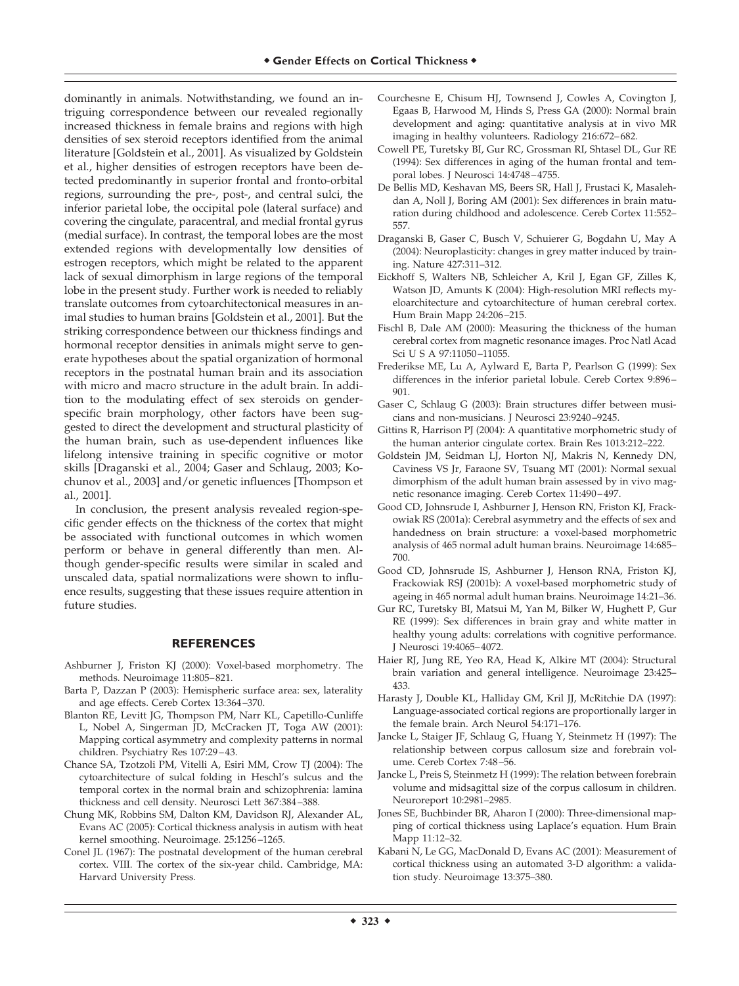dominantly in animals. Notwithstanding, we found an intriguing correspondence between our revealed regionally increased thickness in female brains and regions with high densities of sex steroid receptors identified from the animal literature [Goldstein et al., 2001]. As visualized by Goldstein et al., higher densities of estrogen receptors have been detected predominantly in superior frontal and fronto-orbital regions, surrounding the pre-, post-, and central sulci, the inferior parietal lobe, the occipital pole (lateral surface) and covering the cingulate, paracentral, and medial frontal gyrus (medial surface). In contrast, the temporal lobes are the most extended regions with developmentally low densities of estrogen receptors, which might be related to the apparent lack of sexual dimorphism in large regions of the temporal lobe in the present study. Further work is needed to reliably translate outcomes from cytoarchitectonical measures in animal studies to human brains [Goldstein et al., 2001]. But the striking correspondence between our thickness findings and hormonal receptor densities in animals might serve to generate hypotheses about the spatial organization of hormonal receptors in the postnatal human brain and its association with micro and macro structure in the adult brain. In addition to the modulating effect of sex steroids on genderspecific brain morphology, other factors have been suggested to direct the development and structural plasticity of the human brain, such as use-dependent influences like lifelong intensive training in specific cognitive or motor skills [Draganski et al., 2004; Gaser and Schlaug, 2003; Kochunov et al., 2003] and/or genetic influences [Thompson et al., 2001].

In conclusion, the present analysis revealed region-specific gender effects on the thickness of the cortex that might be associated with functional outcomes in which women perform or behave in general differently than men. Although gender-specific results were similar in scaled and unscaled data, spatial normalizations were shown to influence results, suggesting that these issues require attention in future studies.

#### **REFERENCES**

- Ashburner J, Friston KJ (2000): Voxel-based morphometry. The methods. Neuroimage 11:805– 821.
- Barta P, Dazzan P (2003): Hemispheric surface area: sex, laterality and age effects. Cereb Cortex 13:364 –370.
- Blanton RE, Levitt JG, Thompson PM, Narr KL, Capetillo-Cunliffe L, Nobel A, Singerman JD, McCracken JT, Toga AW (2001): Mapping cortical asymmetry and complexity patterns in normal children. Psychiatry Res 107:29 – 43.
- Chance SA, Tzotzoli PM, Vitelli A, Esiri MM, Crow TJ (2004): The cytoarchitecture of sulcal folding in Heschl's sulcus and the temporal cortex in the normal brain and schizophrenia: lamina thickness and cell density. Neurosci Lett 367:384 –388.
- Chung MK, Robbins SM, Dalton KM, Davidson RJ, Alexander AL, Evans AC (2005): Cortical thickness analysis in autism with heat kernel smoothing. Neuroimage. 25:1256 –1265.
- Conel JL (1967): The postnatal development of the human cerebral cortex. VIII. The cortex of the six-year child. Cambridge, MA: Harvard University Press.
- Courchesne E, Chisum HJ, Townsend J, Cowles A, Covington J, Egaas B, Harwood M, Hinds S, Press GA (2000): Normal brain development and aging: quantitative analysis at in vivo MR imaging in healthy volunteers. Radiology 216:672– 682.
- Cowell PE, Turetsky BI, Gur RC, Grossman RI, Shtasel DL, Gur RE (1994): Sex differences in aging of the human frontal and temporal lobes. J Neurosci 14:4748 – 4755.
- De Bellis MD, Keshavan MS, Beers SR, Hall J, Frustaci K, Masalehdan A, Noll J, Boring AM (2001): Sex differences in brain maturation during childhood and adolescence. Cereb Cortex 11:552– 557.
- Draganski B, Gaser C, Busch V, Schuierer G, Bogdahn U, May A (2004): Neuroplasticity: changes in grey matter induced by training. Nature 427:311–312.
- Eickhoff S, Walters NB, Schleicher A, Kril J, Egan GF, Zilles K, Watson JD, Amunts K (2004): High-resolution MRI reflects myeloarchitecture and cytoarchitecture of human cerebral cortex. Hum Brain Mapp 24:206 –215.
- Fischl B, Dale AM (2000): Measuring the thickness of the human cerebral cortex from magnetic resonance images. Proc Natl Acad Sci U S A 97:11050 –11055.
- Frederikse ME, Lu A, Aylward E, Barta P, Pearlson G (1999): Sex differences in the inferior parietal lobule. Cereb Cortex 9:896 – 901.
- Gaser C, Schlaug G (2003): Brain structures differ between musicians and non-musicians. J Neurosci 23:9240 –9245.
- Gittins R, Harrison PJ (2004): A quantitative morphometric study of the human anterior cingulate cortex. Brain Res 1013:212–222.
- Goldstein JM, Seidman LJ, Horton NJ, Makris N, Kennedy DN, Caviness VS Jr, Faraone SV, Tsuang MT (2001): Normal sexual dimorphism of the adult human brain assessed by in vivo magnetic resonance imaging. Cereb Cortex 11:490 – 497.
- Good CD, Johnsrude I, Ashburner J, Henson RN, Friston KJ, Frackowiak RS (2001a): Cerebral asymmetry and the effects of sex and handedness on brain structure: a voxel-based morphometric analysis of 465 normal adult human brains. Neuroimage 14:685– 700.
- Good CD, Johnsrude IS, Ashburner J, Henson RNA, Friston KJ, Frackowiak RSJ (2001b): A voxel-based morphometric study of ageing in 465 normal adult human brains. Neuroimage 14:21–36.
- Gur RC, Turetsky BI, Matsui M, Yan M, Bilker W, Hughett P, Gur RE (1999): Sex differences in brain gray and white matter in healthy young adults: correlations with cognitive performance. J Neurosci 19:4065– 4072.
- Haier RJ, Jung RE, Yeo RA, Head K, Alkire MT (2004): Structural brain variation and general intelligence. Neuroimage 23:425– 433.
- Harasty J, Double KL, Halliday GM, Kril JJ, McRitchie DA (1997): Language-associated cortical regions are proportionally larger in the female brain. Arch Neurol 54:171–176.
- Jancke L, Staiger JF, Schlaug G, Huang Y, Steinmetz H (1997): The relationship between corpus callosum size and forebrain volume. Cereb Cortex 7:48 –56.
- Jancke L, Preis S, Steinmetz H (1999): The relation between forebrain volume and midsagittal size of the corpus callosum in children. Neuroreport 10:2981–2985.
- Jones SE, Buchbinder BR, Aharon I (2000): Three-dimensional mapping of cortical thickness using Laplace's equation. Hum Brain Mapp 11:12–32.
- Kabani N, Le GG, MacDonald D, Evans AC (2001): Measurement of cortical thickness using an automated 3-D algorithm: a validation study. Neuroimage 13:375–380.